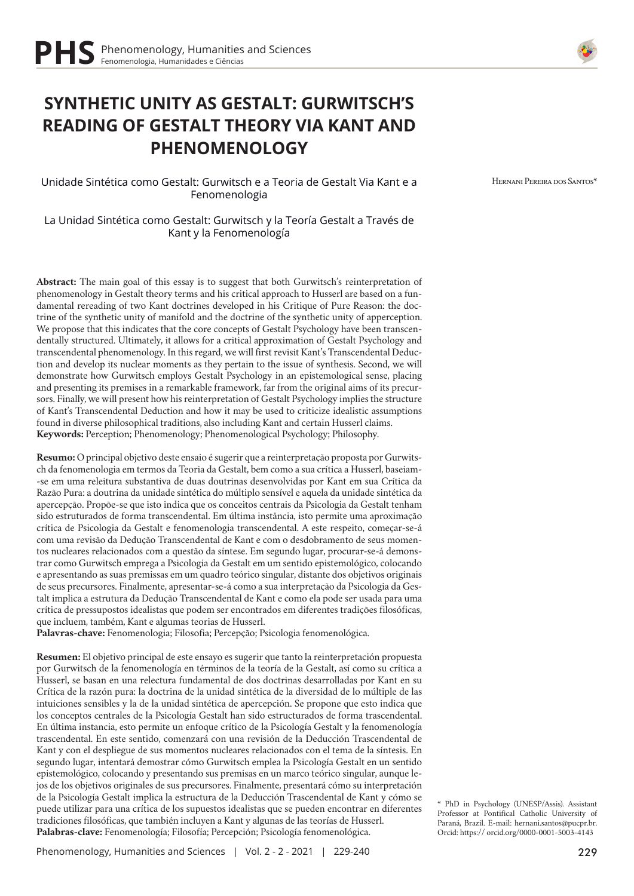# **SYNTHETIC UNITY AS GESTALT: GURWITSCH'S READING OF GESTALT THEORY VIA KANT AND PHENOMENOLOGY**

Unidade Sintética como Gestalt: Gurwitsch e a Teoria de Gestalt Via Kant e a Fenomenologia

La Unidad Sintética como Gestalt: Gurwitsch y la Teoría Gestalt a Través de Kant y la Fenomenología

**Abstract:** The main goal of this essay is to suggest that both Gurwitsch's reinterpretation of phenomenology in Gestalt theory terms and his critical approach to Husserl are based on a fundamental rereading of two Kant doctrines developed in his Critique of Pure Reason: the doctrine of the synthetic unity of manifold and the doctrine of the synthetic unity of apperception. We propose that this indicates that the core concepts of Gestalt Psychology have been transcendentally structured. Ultimately, it allows for a critical approximation of Gestalt Psychology and transcendental phenomenology. In this regard, we will first revisit Kant's Transcendental Deduction and develop its nuclear moments as they pertain to the issue of synthesis. Second, we will demonstrate how Gurwitsch employs Gestalt Psychology in an epistemological sense, placing and presenting its premises in a remarkable framework, far from the original aims of its precursors. Finally, we will present how his reinterpretation of Gestalt Psychology implies the structure of Kant's Transcendental Deduction and how it may be used to criticize idealistic assumptions found in diverse philosophical traditions, also including Kant and certain Husserl claims. **Keywords:** Perception; Phenomenology; Phenomenological Psychology; Philosophy.

**Resumo:** O principal objetivo deste ensaio é sugerir que a reinterpretação proposta por Gurwitsch da fenomenologia em termos da Teoria da Gestalt, bem como a sua crítica a Husserl, baseiam- -se em uma releitura substantiva de duas doutrinas desenvolvidas por Kant em sua Crítica da Razão Pura: a doutrina da unidade sintética do múltiplo sensível e aquela da unidade sintética da apercepção. Propõe-se que isto indica que os conceitos centrais da Psicologia da Gestalt tenham sido estruturados de forma transcendental. Em última instância, isto permite uma aproximação crítica de Psicologia da Gestalt e fenomenologia transcendental. A este respeito, começar-se-á com uma revisão da Dedução Transcendental de Kant e com o desdobramento de seus momentos nucleares relacionados com a questão da síntese. Em segundo lugar, procurar-se-á demonstrar como Gurwitsch emprega a Psicologia da Gestalt em um sentido epistemológico, colocando e apresentando as suas premissas em um quadro teórico singular, distante dos objetivos originais de seus precursores. Finalmente, apresentar-se-á como a sua interpretação da Psicologia da Gestalt implica a estrutura da Dedução Transcendental de Kant e como ela pode ser usada para uma crítica de pressupostos idealistas que podem ser encontrados em diferentes tradições filosóficas, que incluem, também, Kant e algumas teorias de Husserl.

**Palavras-chave:** Fenomenologia; Filosofia; Percepção; Psicologia fenomenológica.

**Resumen:** El objetivo principal de este ensayo es sugerir que tanto la reinterpretación propuesta por Gurwitsch de la fenomenología en términos de la teoría de la Gestalt, así como su crítica a Husserl, se basan en una relectura fundamental de dos doctrinas desarrolladas por Kant en su Crítica de la razón pura: la doctrina de la unidad sintética de la diversidad de lo múltiple de las intuiciones sensibles y la de la unidad sintética de apercepción. Se propone que esto indica que los conceptos centrales de la Psicología Gestalt han sido estructurados de forma trascendental. En última instancia, esto permite un enfoque crítico de la Psicología Gestalt y la fenomenología trascendental. En este sentido, comenzará con una revisión de la Deducción Trascendental de Kant y con el despliegue de sus momentos nucleares relacionados con el tema de la síntesis. En segundo lugar, intentará demostrar cómo Gurwitsch emplea la Psicología Gestalt en un sentido epistemológico, colocando y presentando sus premisas en un marco teórico singular, aunque lejos de los objetivos originales de sus precursores. Finalmente, presentará cómo su interpretación de la Psicología Gestalt implica la estructura de la Deducción Trascendental de Kant y cómo se puede utilizar para una crítica de los supuestos idealistas que se pueden encontrar en diferentes tradiciones filosóficas, que también incluyen a Kant y algunas de las teorías de Husserl. **Palabras-clave:** Fenomenología; Filosofía; Percepción; Psicología fenomenológica.



Hernani Pereira dos Santos\*

\* PhD in Psychology (UNESP/Assis). Assistant Professor at Pontifical Catholic University of Paraná, Brazil. E-mail: hernani.santos@pucpr.br. Orcid: https:// orcid.org/0000-0001-5003-4143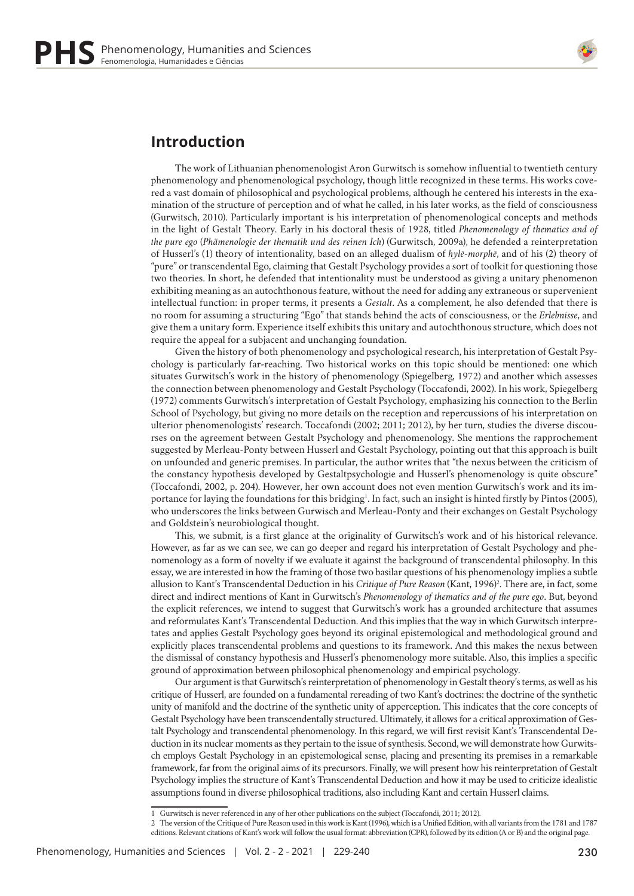

### **Introduction**

The work of Lithuanian phenomenologist Aron Gurwitsch is somehow influential to twentieth century phenomenology and phenomenological psychology, though little recognized in these terms. His works covered a vast domain of philosophical and psychological problems, although he centered his interests in the examination of the structure of perception and of what he called, in his later works, as the field of consciousness (Gurwitsch, 2010). Particularly important is his interpretation of phenomenological concepts and methods in the light of Gestalt Theory. Early in his doctoral thesis of 1928, titled *Phenomenology of thematics and of the pure ego* (*Phämenologie der thematik und des reinen Ich*) (Gurwitsch, 2009a), he defended a reinterpretation of Husserl's (1) theory of intentionality, based on an alleged dualism of *hylē-morphē*, and of his (2) theory of "pure" or transcendental Ego, claiming that Gestalt Psychology provides a sort of toolkit for questioning those two theories. In short, he defended that intentionality must be understood as giving a unitary phenomenon exhibiting meaning as an autochthonous feature, without the need for adding any extraneous or supervenient intellectual function: in proper terms, it presents a *Gestalt*. As a complement, he also defended that there is no room for assuming a structuring "Ego" that stands behind the acts of consciousness, or the *Erlebnisse*, and give them a unitary form. Experience itself exhibits this unitary and autochthonous structure, which does not require the appeal for a subjacent and unchanging foundation.

Given the history of both phenomenology and psychological research, his interpretation of Gestalt Psychology is particularly far-reaching. Two historical works on this topic should be mentioned: one which situates Gurwitsch's work in the history of phenomenology (Spiegelberg, 1972) and another which assesses the connection between phenomenology and Gestalt Psychology (Toccafondi, 2002). In his work, Spiegelberg (1972) comments Gurwitsch's interpretation of Gestalt Psychology, emphasizing his connection to the Berlin School of Psychology, but giving no more details on the reception and repercussions of his interpretation on ulterior phenomenologists' research. Toccafondi (2002; 2011; 2012), by her turn, studies the diverse discourses on the agreement between Gestalt Psychology and phenomenology. She mentions the rapprochement suggested by Merleau-Ponty between Husserl and Gestalt Psychology, pointing out that this approach is built on unfounded and generic premises. In particular, the author writes that "the nexus between the criticism of the constancy hypothesis developed by Gestaltpsychologie and Husserl's phenomenology is quite obscure" (Toccafondi, 2002, p. 204). However, her own account does not even mention Gurwitsch's work and its importance for laying the foundations for this bridging<sup>1</sup>. In fact, such an insight is hinted firstly by Pintos (2005), who underscores the links between Gurwisch and Merleau-Ponty and their exchanges on Gestalt Psychology and Goldstein's neurobiological thought.

This, we submit, is a first glance at the originality of Gurwitsch's work and of his historical relevance. However, as far as we can see, we can go deeper and regard his interpretation of Gestalt Psychology and phenomenology as a form of novelty if we evaluate it against the background of transcendental philosophy. In this essay, we are interested in how the framing of those two basilar questions of his phenomenology implies a subtle allusion to Kant's Transcendental Deduction in his *Critique of Pure Reason* (Kant, 1996)2 . There are, in fact, some direct and indirect mentions of Kant in Gurwitsch's *Phenomenology of thematics and of the pure ego*. But, beyond the explicit references, we intend to suggest that Gurwitsch's work has a grounded architecture that assumes and reformulates Kant's Transcendental Deduction. And this implies that the way in which Gurwitsch interpretates and applies Gestalt Psychology goes beyond its original epistemological and methodological ground and explicitly places transcendental problems and questions to its framework. And this makes the nexus between the dismissal of constancy hypothesis and Husserl's phenomenology more suitable. Also, this implies a specific ground of approximation between philosophical phenomenology and empirical psychology.

Our argument is that Gurwitsch's reinterpretation of phenomenology in Gestalt theory's terms, as well as his critique of Husserl, are founded on a fundamental rereading of two Kant's doctrines: the doctrine of the synthetic unity of manifold and the doctrine of the synthetic unity of apperception. This indicates that the core concepts of Gestalt Psychology have been transcendentally structured. Ultimately, it allows for a critical approximation of Gestalt Psychology and transcendental phenomenology. In this regard, we will first revisit Kant's Transcendental Deduction in its nuclear moments as they pertain to the issue of synthesis. Second, we will demonstrate how Gurwitsch employs Gestalt Psychology in an epistemological sense, placing and presenting its premises in a remarkable framework, far from the original aims of its precursors. Finally, we will present how his reinterpretation of Gestalt Psychology implies the structure of Kant's Transcendental Deduction and how it may be used to criticize idealistic assumptions found in diverse philosophical traditions, also including Kant and certain Husserl claims.

<sup>1</sup> Gurwitsch is never referenced in any of her other publications on the subject (Toccafondi, 2011; 2012).

<sup>2</sup> The version of the Critique of Pure Reason used in this work is Kant (1996), which is a Unified Edition, with all variants from the 1781 and 1787 editions. Relevant citations of Kant's work will follow the usual format: abbreviation (CPR), followed by its edition (A or B) and the original page.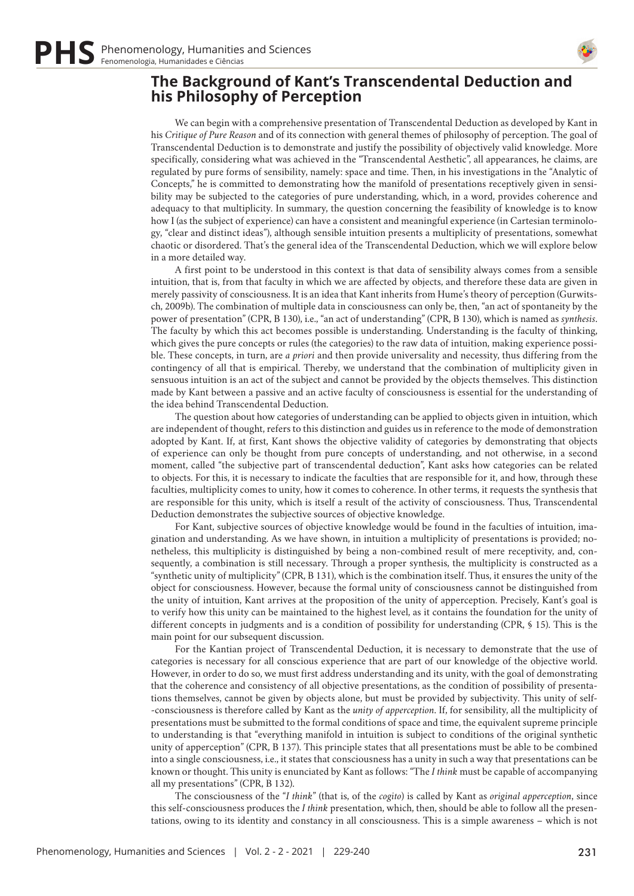

#### **The Background of Kant's Transcendental Deduction and his Philosophy of Perception**

We can begin with a comprehensive presentation of Transcendental Deduction as developed by Kant in his *Critique of Pure Reason* and of its connection with general themes of philosophy of perception. The goal of Transcendental Deduction is to demonstrate and justify the possibility of objectively valid knowledge. More specifically, considering what was achieved in the "Transcendental Aesthetic", all appearances, he claims, are regulated by pure forms of sensibility, namely: space and time. Then, in his investigations in the "Analytic of Concepts," he is committed to demonstrating how the manifold of presentations receptively given in sensibility may be subjected to the categories of pure understanding, which, in a word, provides coherence and adequacy to that multiplicity. In summary, the question concerning the feasibility of knowledge is to know how I (as the subject of experience) can have a consistent and meaningful experience (in Cartesian terminology, "clear and distinct ideas"), although sensible intuition presents a multiplicity of presentations, somewhat chaotic or disordered. That's the general idea of the Transcendental Deduction, which we will explore below in a more detailed way.

A first point to be understood in this context is that data of sensibility always comes from a sensible intuition, that is, from that faculty in which we are affected by objects, and therefore these data are given in merely passivity of consciousness. It is an idea that Kant inherits from Hume's theory of perception (Gurwitsch, 2009b). The combination of multiple data in consciousness can only be, then, "an act of spontaneity by the power of presentation" (CPR, B 130), i.e., "an act of understanding" (CPR, B 130), which is named as *synthesis*. The faculty by which this act becomes possible is understanding. Understanding is the faculty of thinking, which gives the pure concepts or rules (the categories) to the raw data of intuition, making experience possible. These concepts, in turn, are *a priori* and then provide universality and necessity, thus differing from the contingency of all that is empirical. Thereby, we understand that the combination of multiplicity given in sensuous intuition is an act of the subject and cannot be provided by the objects themselves. This distinction made by Kant between a passive and an active faculty of consciousness is essential for the understanding of the idea behind Transcendental Deduction.

The question about how categories of understanding can be applied to objects given in intuition, which are independent of thought, refers to this distinction and guides us in reference to the mode of demonstration adopted by Kant. If, at first, Kant shows the objective validity of categories by demonstrating that objects of experience can only be thought from pure concepts of understanding, and not otherwise, in a second moment, called "the subjective part of transcendental deduction", Kant asks how categories can be related to objects. For this, it is necessary to indicate the faculties that are responsible for it, and how, through these faculties, multiplicity comes to unity, how it comes to coherence. In other terms, it requests the synthesis that are responsible for this unity, which is itself a result of the activity of consciousness. Thus, Transcendental Deduction demonstrates the subjective sources of objective knowledge.

For Kant, subjective sources of objective knowledge would be found in the faculties of intuition, imagination and understanding. As we have shown, in intuition a multiplicity of presentations is provided; nonetheless, this multiplicity is distinguished by being a non-combined result of mere receptivity, and, consequently, a combination is still necessary. Through a proper synthesis, the multiplicity is constructed as a "synthetic unity of multiplicity" (CPR, B 131), which is the combination itself. Thus, it ensures the unity of the object for consciousness. However, because the formal unity of consciousness cannot be distinguished from the unity of intuition, Kant arrives at the proposition of the unity of apperception. Precisely, Kant's goal is to verify how this unity can be maintained to the highest level, as it contains the foundation for the unity of different concepts in judgments and is a condition of possibility for understanding (CPR, § 15). This is the main point for our subsequent discussion.

For the Kantian project of Transcendental Deduction, it is necessary to demonstrate that the use of categories is necessary for all conscious experience that are part of our knowledge of the objective world. However, in order to do so, we must first address understanding and its unity, with the goal of demonstrating that the coherence and consistency of all objective presentations, as the condition of possibility of presentations themselves, cannot be given by objects alone, but must be provided by subjectivity. This unity of self- -consciousness is therefore called by Kant as the *unity of apperception*. If, for sensibility, all the multiplicity of presentations must be submitted to the formal conditions of space and time, the equivalent supreme principle to understanding is that "everything manifold in intuition is subject to conditions of the original synthetic unity of apperception" (CPR, B 137). This principle states that all presentations must be able to be combined into a single consciousness, i.e., it states that consciousness has a unity in such a way that presentations can be known or thought. This unity is enunciated by Kant as follows: "The *I think* must be capable of accompanying all my presentations" (CPR, B 132).

The consciousness of the "*I think*" (that is, of the *cogito*) is called by Kant as *original apperception*, since this self-consciousness produces the *I think* presentation, which, then, should be able to follow all the presentations, owing to its identity and constancy in all consciousness. This is a simple awareness – which is not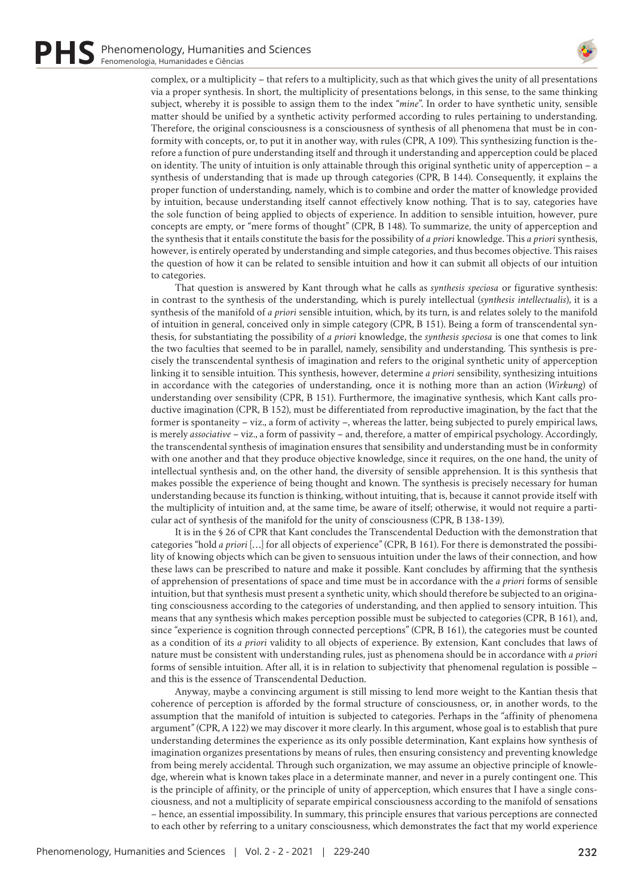

complex, or a multiplicity – that refers to a multiplicity, such as that which gives the unity of all presentations via a proper synthesis. In short, the multiplicity of presentations belongs, in this sense, to the same thinking subject, whereby it is possible to assign them to the index "*mine*". In order to have synthetic unity, sensible matter should be unified by a synthetic activity performed according to rules pertaining to understanding. Therefore, the original consciousness is a consciousness of synthesis of all phenomena that must be in conformity with concepts, or, to put it in another way, with rules (CPR, A 109). This synthesizing function is therefore a function of pure understanding itself and through it understanding and apperception could be placed on identity. The unity of intuition is only attainable through this original synthetic unity of apperception – a synthesis of understanding that is made up through categories (CPR, B 144). Consequently, it explains the proper function of understanding, namely, which is to combine and order the matter of knowledge provided by intuition, because understanding itself cannot effectively know nothing. That is to say, categories have the sole function of being applied to objects of experience. In addition to sensible intuition, however, pure concepts are empty, or "mere forms of thought" (CPR, B 148). To summarize, the unity of apperception and the synthesis that it entails constitute the basis for the possibility of *a priori* knowledge. This *a priori* synthesis, however, is entirely operated by understanding and simple categories, and thus becomes objective. This raises the question of how it can be related to sensible intuition and how it can submit all objects of our intuition to categories.

That question is answered by Kant through what he calls as *synthesis speciosa* or figurative synthesis: in contrast to the synthesis of the understanding, which is purely intellectual (*synthesis intellectualis*), it is a synthesis of the manifold of *a priori* sensible intuition, which, by its turn, is and relates solely to the manifold of intuition in general, conceived only in simple category (CPR, B 151). Being a form of transcendental synthesis, for substantiating the possibility of *a priori* knowledge, the *synthesis speciosa* is one that comes to link the two faculties that seemed to be in parallel, namely, sensibility and understanding. This synthesis is precisely the transcendental synthesis of imagination and refers to the original synthetic unity of apperception linking it to sensible intuition. This synthesis, however, determine *a priori* sensibility, synthesizing intuitions in accordance with the categories of understanding, once it is nothing more than an action (*Wirkung*) of understanding over sensibility (CPR, B 151). Furthermore, the imaginative synthesis, which Kant calls productive imagination (CPR, B 152), must be differentiated from reproductive imagination, by the fact that the former is spontaneity – viz., a form of activity –, whereas the latter, being subjected to purely empirical laws, is merely *associative* – viz., a form of passivity – and, therefore, a matter of empirical psychology. Accordingly, the transcendental synthesis of imagination ensures that sensibility and understanding must be in conformity with one another and that they produce objective knowledge, since it requires, on the one hand, the unity of intellectual synthesis and, on the other hand, the diversity of sensible apprehension. It is this synthesis that makes possible the experience of being thought and known. The synthesis is precisely necessary for human understanding because its function is thinking, without intuiting, that is, because it cannot provide itself with the multiplicity of intuition and, at the same time, be aware of itself; otherwise, it would not require a particular act of synthesis of the manifold for the unity of consciousness (CPR, B 138-139).

It is in the § 26 of CPR that Kant concludes the Transcendental Deduction with the demonstration that categories "hold *a priori* […] for all objects of experience" (CPR, B 161). For there is demonstrated the possibility of knowing objects which can be given to sensuous intuition under the laws of their connection, and how these laws can be prescribed to nature and make it possible. Kant concludes by affirming that the synthesis of apprehension of presentations of space and time must be in accordance with the *a priori* forms of sensible intuition, but that synthesis must present a synthetic unity, which should therefore be subjected to an originating consciousness according to the categories of understanding, and then applied to sensory intuition. This means that any synthesis which makes perception possible must be subjected to categories (CPR, B 161), and, since "experience is cognition through connected perceptions" (CPR, B 161), the categories must be counted as a condition of its *a priori* validity to all objects of experience. By extension, Kant concludes that laws of nature must be consistent with understanding rules, just as phenomena should be in accordance with *a priori*  forms of sensible intuition. After all, it is in relation to subjectivity that phenomenal regulation is possible – and this is the essence of Transcendental Deduction.

Anyway, maybe a convincing argument is still missing to lend more weight to the Kantian thesis that coherence of perception is afforded by the formal structure of consciousness, or, in another words, to the assumption that the manifold of intuition is subjected to categories. Perhaps in the "affinity of phenomena argument" (CPR, A 122) we may discover it more clearly. In this argument, whose goal is to establish that pure understanding determines the experience as its only possible determination, Kant explains how synthesis of imagination organizes presentations by means of rules, then ensuring consistency and preventing knowledge from being merely accidental. Through such organization, we may assume an objective principle of knowledge, wherein what is known takes place in a determinate manner, and never in a purely contingent one. This is the principle of affinity, or the principle of unity of apperception, which ensures that I have a single consciousness, and not a multiplicity of separate empirical consciousness according to the manifold of sensations – hence, an essential impossibility. In summary, this principle ensures that various perceptions are connected to each other by referring to a unitary consciousness, which demonstrates the fact that my world experience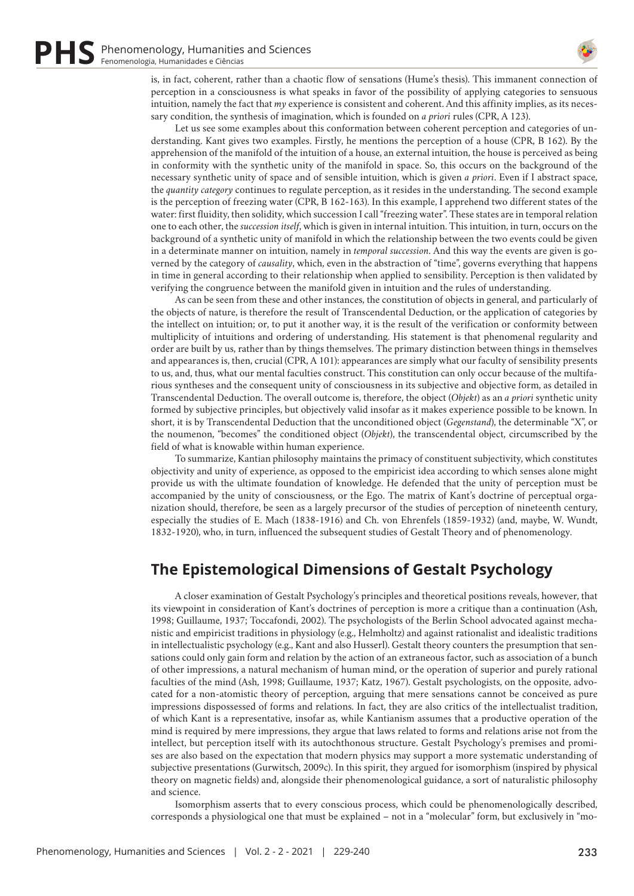

is, in fact, coherent, rather than a chaotic flow of sensations (Hume's thesis). This immanent connection of perception in a consciousness is what speaks in favor of the possibility of applying categories to sensuous intuition, namely the fact that *my* experience is consistent and coherent. And this affinity implies, as its necessary condition, the synthesis of imagination, which is founded on *a priori* rules (CPR, A 123).

Let us see some examples about this conformation between coherent perception and categories of understanding. Kant gives two examples. Firstly, he mentions the perception of a house (CPR, B 162). By the apprehension of the manifold of the intuition of a house, an external intuition, the house is perceived as being in conformity with the synthetic unity of the manifold in space. So, this occurs on the background of the necessary synthetic unity of space and of sensible intuition, which is given *a priori*. Even if I abstract space, the *quantity category* continues to regulate perception, as it resides in the understanding. The second example is the perception of freezing water (CPR, B 162-163). In this example, I apprehend two different states of the water: first fluidity, then solidity, which succession I call "freezing water". These states are in temporal relation one to each other, the *succession itself*, which is given in internal intuition. This intuition, in turn, occurs on the background of a synthetic unity of manifold in which the relationship between the two events could be given in a determinate manner on intuition, namely in *temporal succession*. And this way the events are given is governed by the category of *causality*, which, even in the abstraction of "time", governs everything that happens in time in general according to their relationship when applied to sensibility. Perception is then validated by verifying the congruence between the manifold given in intuition and the rules of understanding.

As can be seen from these and other instances, the constitution of objects in general, and particularly of the objects of nature, is therefore the result of Transcendental Deduction, or the application of categories by the intellect on intuition; or, to put it another way, it is the result of the verification or conformity between multiplicity of intuitions and ordering of understanding. His statement is that phenomenal regularity and order are built by us, rather than by things themselves. The primary distinction between things in themselves and appearances is, then, crucial (CPR, A 101): appearances are simply what our faculty of sensibility presents to us, and, thus, what our mental faculties construct. This constitution can only occur because of the multifarious syntheses and the consequent unity of consciousness in its subjective and objective form, as detailed in Transcendental Deduction. The overall outcome is, therefore, the object (*Objekt*) as an *a priori* synthetic unity formed by subjective principles, but objectively valid insofar as it makes experience possible to be known. In short, it is by Transcendental Deduction that the unconditioned object (*Gegenstand*), the determinable "X", or the noumenon, "becomes" the conditioned object (*Objekt*), the transcendental object, circumscribed by the field of what is knowable within human experience.

To summarize, Kantian philosophy maintains the primacy of constituent subjectivity, which constitutes objectivity and unity of experience, as opposed to the empiricist idea according to which senses alone might provide us with the ultimate foundation of knowledge. He defended that the unity of perception must be accompanied by the unity of consciousness, or the Ego. The matrix of Kant's doctrine of perceptual organization should, therefore, be seen as a largely precursor of the studies of perception of nineteenth century, especially the studies of E. Mach (1838-1916) and Ch. von Ehrenfels (1859-1932) (and, maybe, W. Wundt, 1832-1920), who, in turn, influenced the subsequent studies of Gestalt Theory and of phenomenology.

## **The Epistemological Dimensions of Gestalt Psychology**

A closer examination of Gestalt Psychology's principles and theoretical positions reveals, however, that its viewpoint in consideration of Kant's doctrines of perception is more a critique than a continuation (Ash, 1998; Guillaume, 1937; Toccafondi, 2002). The psychologists of the Berlin School advocated against mechanistic and empiricist traditions in physiology (e.g., Helmholtz) and against rationalist and idealistic traditions in intellectualistic psychology (e.g., Kant and also Husserl). Gestalt theory counters the presumption that sensations could only gain form and relation by the action of an extraneous factor, such as association of a bunch of other impressions, a natural mechanism of human mind, or the operation of superior and purely rational faculties of the mind (Ash, 1998; Guillaume, 1937; Katz, 1967). Gestalt psychologists, on the opposite, advocated for a non-atomistic theory of perception, arguing that mere sensations cannot be conceived as pure impressions dispossessed of forms and relations. In fact, they are also critics of the intellectualist tradition, of which Kant is a representative, insofar as, while Kantianism assumes that a productive operation of the mind is required by mere impressions, they argue that laws related to forms and relations arise not from the intellect, but perception itself with its autochthonous structure. Gestalt Psychology's premises and promises are also based on the expectation that modern physics may support a more systematic understanding of subjective presentations (Gurwitsch, 2009c). In this spirit, they argued for isomorphism (inspired by physical theory on magnetic fields) and, alongside their phenomenological guidance, a sort of naturalistic philosophy and science.

Isomorphism asserts that to every conscious process, which could be phenomenologically described, corresponds a physiological one that must be explained – not in a "molecular" form, but exclusively in "mo-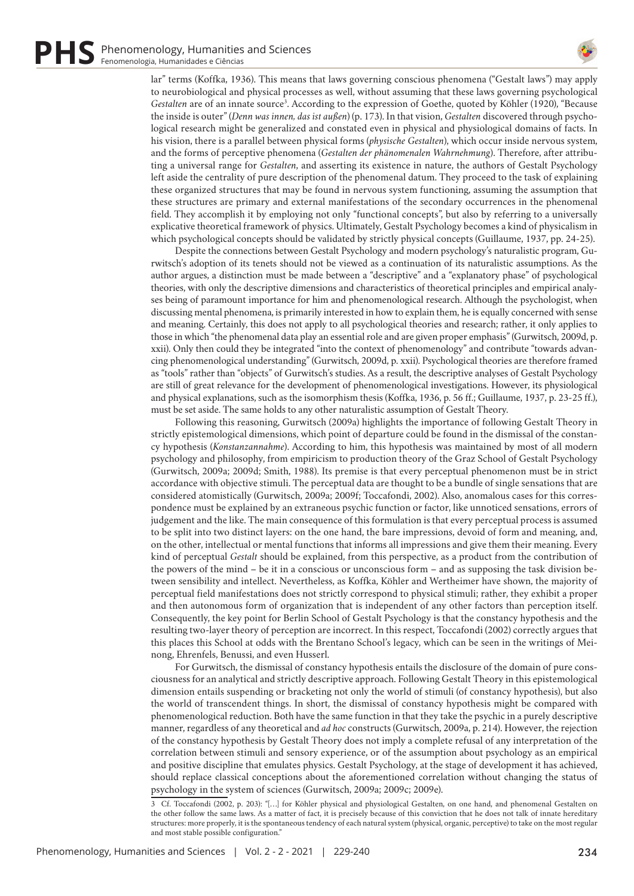

lar" terms (Koffka, 1936). This means that laws governing conscious phenomena ("Gestalt laws") may apply to neurobiological and physical processes as well, without assuming that these laws governing psychological Gestalten are of an innate source<sup>3</sup>. According to the expression of Goethe, quoted by Köhler (1920), "Because the inside is outer" (*Denn was innen, das ist außen*) (p. 173). In that vision, *Gestalten* discovered through psychological research might be generalized and constated even in physical and physiological domains of facts. In his vision, there is a parallel between physical forms (*physische Gestalten*), which occur inside nervous system, and the forms of perceptive phenomena (*Gestalten der phänomenalen Wahrnehmung*). Therefore, after attributing a universal range for *Gestalten*, and asserting its existence in nature, the authors of Gestalt Psychology left aside the centrality of pure description of the phenomenal datum. They proceed to the task of explaining these organized structures that may be found in nervous system functioning, assuming the assumption that these structures are primary and external manifestations of the secondary occurrences in the phenomenal field. They accomplish it by employing not only "functional concepts", but also by referring to a universally explicative theoretical framework of physics. Ultimately, Gestalt Psychology becomes a kind of physicalism in which psychological concepts should be validated by strictly physical concepts (Guillaume, 1937, pp. 24-25).

Despite the connections between Gestalt Psychology and modern psychology's naturalistic program, Gurwitsch's adoption of its tenets should not be viewed as a continuation of its naturalistic assumptions. As the author argues, a distinction must be made between a "descriptive" and a "explanatory phase" of psychological theories, with only the descriptive dimensions and characteristics of theoretical principles and empirical analyses being of paramount importance for him and phenomenological research. Although the psychologist, when discussing mental phenomena, is primarily interested in how to explain them, he is equally concerned with sense and meaning. Certainly, this does not apply to all psychological theories and research; rather, it only applies to those in which "the phenomenal data play an essential role and are given proper emphasis" (Gurwitsch, 2009d, p. xxii). Only then could they be integrated "into the context of phenomenology" and contribute "towards advancing phenomenological understanding" (Gurwitsch, 2009d, p. xxii). Psychological theories are therefore framed as "tools" rather than "objects" of Gurwitsch's studies. As a result, the descriptive analyses of Gestalt Psychology are still of great relevance for the development of phenomenological investigations. However, its physiological and physical explanations, such as the isomorphism thesis (Koffka, 1936, p. 56 ff.; Guillaume, 1937, p. 23-25 ff.), must be set aside. The same holds to any other naturalistic assumption of Gestalt Theory.

Following this reasoning, Gurwitsch (2009a) highlights the importance of following Gestalt Theory in strictly epistemological dimensions, which point of departure could be found in the dismissal of the constancy hypothesis (*Konstanzannahme*). According to him, this hypothesis was maintained by most of all modern psychology and philosophy, from empiricism to production theory of the Graz School of Gestalt Psychology (Gurwitsch, 2009a; 2009d; Smith, 1988). Its premise is that every perceptual phenomenon must be in strict accordance with objective stimuli. The perceptual data are thought to be a bundle of single sensations that are considered atomistically (Gurwitsch, 2009a; 2009f; Toccafondi, 2002). Also, anomalous cases for this correspondence must be explained by an extraneous psychic function or factor, like unnoticed sensations, errors of judgement and the like. The main consequence of this formulation is that every perceptual process is assumed to be split into two distinct layers: on the one hand, the bare impressions, devoid of form and meaning, and, on the other, intellectual or mental functions that informs all impressions and give them their meaning. Every kind of perceptual *Gestalt* should be explained, from this perspective, as a product from the contribution of the powers of the mind – be it in a conscious or unconscious form – and as supposing the task division between sensibility and intellect. Nevertheless, as Koffka, Köhler and Wertheimer have shown, the majority of perceptual field manifestations does not strictly correspond to physical stimuli; rather, they exhibit a proper and then autonomous form of organization that is independent of any other factors than perception itself. Consequently, the key point for Berlin School of Gestalt Psychology is that the constancy hypothesis and the resulting two-layer theory of perception are incorrect. In this respect, Toccafondi (2002) correctly argues that this places this School at odds with the Brentano School's legacy, which can be seen in the writings of Meinong, Ehrenfels, Benussi, and even Husserl.

For Gurwitsch, the dismissal of constancy hypothesis entails the disclosure of the domain of pure consciousness for an analytical and strictly descriptive approach. Following Gestalt Theory in this epistemological dimension entails suspending or bracketing not only the world of stimuli (of constancy hypothesis), but also the world of transcendent things. In short, the dismissal of constancy hypothesis might be compared with phenomenological reduction. Both have the same function in that they take the psychic in a purely descriptive manner, regardless of any theoretical and *ad hoc* constructs (Gurwitsch, 2009a, p. 214). However, the rejection of the constancy hypothesis by Gestalt Theory does not imply a complete refusal of any interpretation of the correlation between stimuli and sensory experience, or of the assumption about psychology as an empirical and positive discipline that emulates physics. Gestalt Psychology, at the stage of development it has achieved, should replace classical conceptions about the aforementioned correlation without changing the status of psychology in the system of sciences (Gurwitsch, 2009a; 2009c; 2009e).

<sup>3</sup> Cf. Toccafondi (2002, p. 203): "[…] for Köhler physical and physiological Gestalten, on one hand, and phenomenal Gestalten on the other follow the same laws. As a matter of fact, it is precisely because of this conviction that he does not talk of innate hereditary structures: more properly, it is the spontaneous tendency of each natural system (physical, organic, perceptive) to take on the most regular and most stable possible configuration."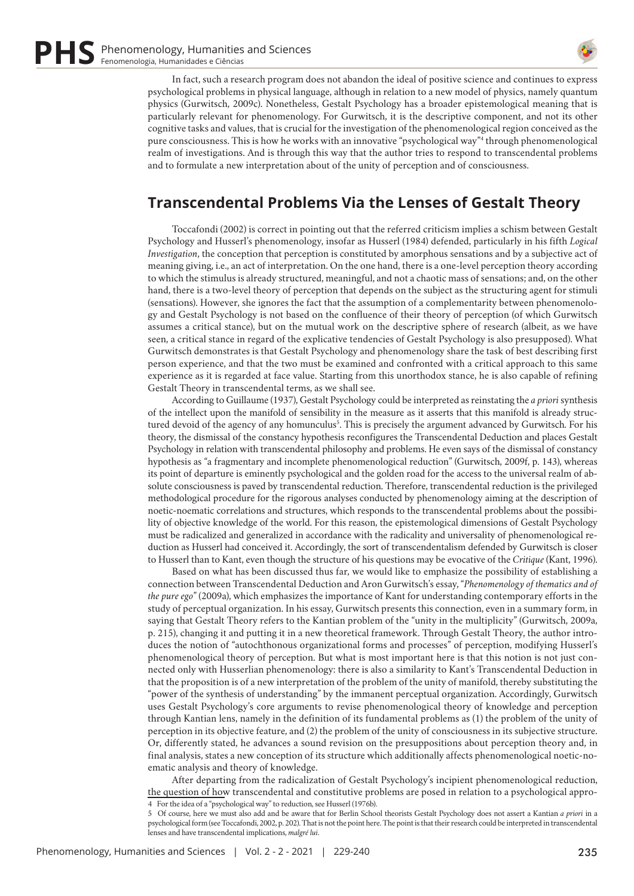

In fact, such a research program does not abandon the ideal of positive science and continues to express psychological problems in physical language, although in relation to a new model of physics, namely quantum physics (Gurwitsch, 2009c). Nonetheless, Gestalt Psychology has a broader epistemological meaning that is particularly relevant for phenomenology. For Gurwitsch, it is the descriptive component, and not its other cognitive tasks and values, that is crucial for the investigation of the phenomenological region conceived as the pure consciousness. This is how he works with an innovative "psychological way"<sup>4</sup> through phenomenological realm of investigations. And is through this way that the author tries to respond to transcendental problems and to formulate a new interpretation about of the unity of perception and of consciousness.

## **Transcendental Problems Via the Lenses of Gestalt Theory**

Toccafondi (2002) is correct in pointing out that the referred criticism implies a schism between Gestalt Psychology and Husserl's phenomenology, insofar as Husserl (1984) defended, particularly in his fifth *Logical Investigation*, the conception that perception is constituted by amorphous sensations and by a subjective act of meaning giving, i.e., an act of interpretation. On the one hand, there is a one-level perception theory according to which the stimulus is already structured, meaningful, and not a chaotic mass of sensations; and, on the other hand, there is a two-level theory of perception that depends on the subject as the structuring agent for stimuli (sensations). However, she ignores the fact that the assumption of a complementarity between phenomenology and Gestalt Psychology is not based on the confluence of their theory of perception (of which Gurwitsch assumes a critical stance), but on the mutual work on the descriptive sphere of research (albeit, as we have seen, a critical stance in regard of the explicative tendencies of Gestalt Psychology is also presupposed). What Gurwitsch demonstrates is that Gestalt Psychology and phenomenology share the task of best describing first person experience, and that the two must be examined and confronted with a critical approach to this same experience as it is regarded at face value. Starting from this unorthodox stance, he is also capable of refining Gestalt Theory in transcendental terms, as we shall see.

According to Guillaume (1937), Gestalt Psychology could be interpreted as reinstating the *a priori* synthesis of the intellect upon the manifold of sensibility in the measure as it asserts that this manifold is already structured devoid of the agency of any homunculus<sup>5</sup>. This is precisely the argument advanced by Gurwitsch. For his theory, the dismissal of the constancy hypothesis reconfigures the Transcendental Deduction and places Gestalt Psychology in relation with transcendental philosophy and problems. He even says of the dismissal of constancy hypothesis as "a fragmentary and incomplete phenomenological reduction" (Gurwitsch, 2009f, p. 143), whereas its point of departure is eminently psychological and the golden road for the access to the universal realm of absolute consciousness is paved by transcendental reduction. Therefore, transcendental reduction is the privileged methodological procedure for the rigorous analyses conducted by phenomenology aiming at the description of noetic-noematic correlations and structures, which responds to the transcendental problems about the possibility of objective knowledge of the world. For this reason, the epistemological dimensions of Gestalt Psychology must be radicalized and generalized in accordance with the radicality and universality of phenomenological reduction as Husserl had conceived it. Accordingly, the sort of transcendentalism defended by Gurwitsch is closer to Husserl than to Kant, even though the structure of his questions may be evocative of the *Critique* (Kant, 1996).

Based on what has been discussed thus far, we would like to emphasize the possibility of establishing a connection between Transcendental Deduction and Aron Gurwitsch's essay, "*Phenomenology of thematics and of the pure ego*" (2009a), which emphasizes the importance of Kant for understanding contemporary efforts in the study of perceptual organization. In his essay, Gurwitsch presents this connection, even in a summary form, in saying that Gestalt Theory refers to the Kantian problem of the "unity in the multiplicity" (Gurwitsch, 2009a, p. 215), changing it and putting it in a new theoretical framework. Through Gestalt Theory, the author introduces the notion of "autochthonous organizational forms and processes" of perception, modifying Husserl's phenomenological theory of perception. But what is most important here is that this notion is not just connected only with Husserlian phenomenology: there is also a similarity to Kant's Transcendental Deduction in that the proposition is of a new interpretation of the problem of the unity of manifold, thereby substituting the "power of the synthesis of understanding" by the immanent perceptual organization. Accordingly, Gurwitsch uses Gestalt Psychology's core arguments to revise phenomenological theory of knowledge and perception through Kantian lens, namely in the definition of its fundamental problems as (1) the problem of the unity of perception in its objective feature, and (2) the problem of the unity of consciousness in its subjective structure. Or, differently stated, he advances a sound revision on the presuppositions about perception theory and, in final analysis, states a new conception of its structure which additionally affects phenomenological noetic-noematic analysis and theory of knowledge.

After departing from the radicalization of Gestalt Psychology's incipient phenomenological reduction, the question of how transcendental and constitutive problems are posed in relation to a psychological appro-4 For the idea of a "psychological way" to reduction, see Husserl (1976b).

5 Of course, here we must also add and be aware that for Berlin School theorists Gestalt Psychology does not assert a Kantian *a priori* in a psychological form (see Toccafondi, 2002, p. 202). That is not the point here. The point is that their research could be interpreted in transcendental lenses and have transcendental implications, *malgré lui*.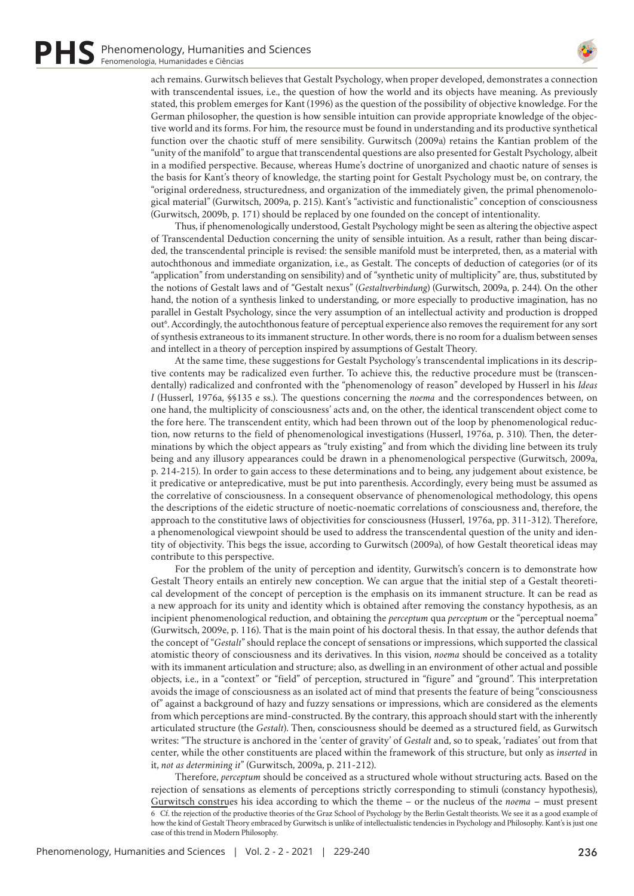

ach remains. Gurwitsch believes that Gestalt Psychology, when proper developed, demonstrates a connection with transcendental issues, i.e., the question of how the world and its objects have meaning. As previously stated, this problem emerges for Kant (1996) as the question of the possibility of objective knowledge. For the German philosopher, the question is how sensible intuition can provide appropriate knowledge of the objective world and its forms. For him, the resource must be found in understanding and its productive synthetical function over the chaotic stuff of mere sensibility. Gurwitsch (2009a) retains the Kantian problem of the "unity of the manifold" to argue that transcendental questions are also presented for Gestalt Psychology, albeit in a modified perspective. Because, whereas Hume's doctrine of unorganized and chaotic nature of senses is the basis for Kant's theory of knowledge, the starting point for Gestalt Psychology must be, on contrary, the "original orderedness, structuredness, and organization of the immediately given, the primal phenomenological material" (Gurwitsch, 2009a, p. 215). Kant's "activistic and functionalistic" conception of consciousness (Gurwitsch, 2009b, p. 171) should be replaced by one founded on the concept of intentionality.

Thus, if phenomenologically understood, Gestalt Psychology might be seen as altering the objective aspect of Transcendental Deduction concerning the unity of sensible intuition. As a result, rather than being discarded, the transcendental principle is revised: the sensible manifold must be interpreted, then, as a material with autochthonous and immediate organization, i.e., as Gestalt. The concepts of deduction of categories (or of its "application" from understanding on sensibility) and of "synthetic unity of multiplicity" are, thus, substituted by the notions of Gestalt laws and of "Gestalt nexus" (*Gestaltverbindung*) (Gurwitsch, 2009a, p. 244). On the other hand, the notion of a synthesis linked to understanding, or more especially to productive imagination, has no parallel in Gestalt Psychology, since the very assumption of an intellectual activity and production is dropped out<sup>6</sup>. Accordingly, the autochthonous feature of perceptual experience also removes the requirement for any sort of synthesis extraneous to its immanent structure. In other words, there is no room for a dualism between senses and intellect in a theory of perception inspired by assumptions of Gestalt Theory.

At the same time, these suggestions for Gestalt Psychology's transcendental implications in its descriptive contents may be radicalized even further. To achieve this, the reductive procedure must be (transcendentally) radicalized and confronted with the "phenomenology of reason" developed by Husserl in his *Ideas I* (Husserl, 1976a, §§135 e ss.). The questions concerning the *noema* and the correspondences between, on one hand, the multiplicity of consciousness' acts and, on the other, the identical transcendent object come to the fore here. The transcendent entity, which had been thrown out of the loop by phenomenological reduction, now returns to the field of phenomenological investigations (Husserl, 1976a, p. 310). Then, the determinations by which the object appears as "truly existing" and from which the dividing line between its truly being and any illusory appearances could be drawn in a phenomenological perspective (Gurwitsch, 2009a, p. 214-215). In order to gain access to these determinations and to being, any judgement about existence, be it predicative or antepredicative, must be put into parenthesis. Accordingly, every being must be assumed as the correlative of consciousness. In a consequent observance of phenomenological methodology, this opens the descriptions of the eidetic structure of noetic-noematic correlations of consciousness and, therefore, the approach to the constitutive laws of objectivities for consciousness (Husserl, 1976a, pp. 311-312). Therefore, a phenomenological viewpoint should be used to address the transcendental question of the unity and identity of objectivity. This begs the issue, according to Gurwitsch (2009a), of how Gestalt theoretical ideas may contribute to this perspective.

For the problem of the unity of perception and identity, Gurwitsch's concern is to demonstrate how Gestalt Theory entails an entirely new conception. We can argue that the initial step of a Gestalt theoretical development of the concept of perception is the emphasis on its immanent structure. It can be read as a new approach for its unity and identity which is obtained after removing the constancy hypothesis, as an incipient phenomenological reduction, and obtaining the *perceptum* qua *perceptum* or the "perceptual noema" (Gurwitsch, 2009e, p. 116). That is the main point of his doctoral thesis. In that essay, the author defends that the concept of "*Gestalt*" should replace the concept of sensations or impressions, which supported the classical atomistic theory of consciousness and its derivatives. In this vision, *noema* should be conceived as a totality with its immanent articulation and structure; also, as dwelling in an environment of other actual and possible objects, i.e., in a "context" or "field" of perception, structured in "figure" and "ground". This interpretation avoids the image of consciousness as an isolated act of mind that presents the feature of being "consciousness of" against a background of hazy and fuzzy sensations or impressions, which are considered as the elements from which perceptions are mind-constructed. By the contrary, this approach should start with the inherently articulated structure (the *Gestalt*). Then, consciousness should be deemed as a structured field, as Gurwitsch writes: "The structure is anchored in the 'center of gravity' of *Gestalt* and, so to speak, 'radiates' out from that center, while the other constituents are placed within the framework of this structure, but only as *inserted* in it, *not as determining it*" (Gurwitsch, 2009a, p. 211-212).

Therefore, *perceptum* should be conceived as a structured whole without structuring acts. Based on the rejection of sensations as elements of perceptions strictly corresponding to stimuli (constancy hypothesis), Gurwitsch construes his idea according to which the theme – or the nucleus of the *noema* – must present 6 Cf. the rejection of the productive theories of the Graz School of Psychology by the Berlin Gestalt theorists. We see it as a good example of how the kind of Gestalt Theory embraced by Gurwitsch is unlike of intellectualistic tendencies in Psychology and Philosophy. Kant's is just one case of this trend in Modern Philosophy.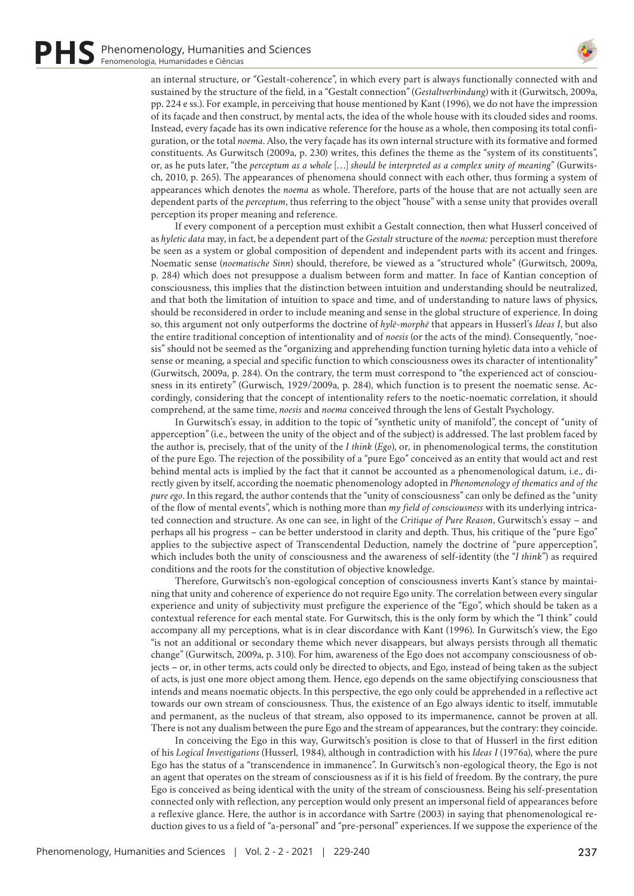

an internal structure, or "Gestalt-coherence", in which every part is always functionally connected with and sustained by the structure of the field, in a "Gestalt connection" (*Gestaltverbindung*) with it (Gurwitsch, 2009a, pp. 224 e ss.). For example, in perceiving that house mentioned by Kant (1996), we do not have the impression of its façade and then construct, by mental acts, the idea of the whole house with its clouded sides and rooms. Instead, every façade has its own indicative reference for the house as a whole, then composing its total configuration, or the total *noema*. Also, the very façade has its own internal structure with its formative and formed constituents. As Gurwitsch (2009a, p. 230) writes, this defines the theme as the "system of its constituents", or, as he puts later, "the *perceptum as a whole* […] *should be interpreted as a complex unity of meaning*" (Gurwitsch, 2010, p. 265). The appearances of phenomena should connect with each other, thus forming a system of appearances which denotes the *noema* as whole. Therefore, parts of the house that are not actually seen are dependent parts of the *perceptum*, thus referring to the object "house" with a sense unity that provides overall perception its proper meaning and reference.

If every component of a perception must exhibit a Gestalt connection, then what Husserl conceived of as *hyletic data* may, in fact, be a dependent part of the *Gestalt* structure of the *noema;* perception must therefore be seen as a system or global composition of dependent and independent parts with its accent and fringes. Noematic sense (*noematische Sinn*) should, therefore, be viewed as a "structured whole" (Gurwitsch, 2009a, p. 284) which does not presuppose a dualism between form and matter. In face of Kantian conception of consciousness, this implies that the distinction between intuition and understanding should be neutralized, and that both the limitation of intuition to space and time, and of understanding to nature laws of physics, should be reconsidered in order to include meaning and sense in the global structure of experience. In doing so, this argument not only outperforms the doctrine of *hylē-morphē* that appears in Husserl's *Ideas I*, but also the entire traditional conception of intentionality and of *noesis* (or the acts of the mind). Consequently, "noesis" should not be seemed as the "organizing and apprehending function turning hyletic data into a vehicle of sense or meaning, a special and specific function to which consciousness owes its character of intentionality" (Gurwitsch, 2009a, p. 284). On the contrary, the term must correspond to "the experienced act of consciousness in its entirety" (Gurwisch, 1929/2009a, p. 284), which function is to present the noematic sense. Accordingly, considering that the concept of intentionality refers to the noetic-noematic correlation, it should comprehend, at the same time, *noesis* and *noema* conceived through the lens of Gestalt Psychology.

In Gurwitsch's essay, in addition to the topic of "synthetic unity of manifold", the concept of "unity of apperception" (i.e., between the unity of the object and of the subject) is addressed. The last problem faced by the author is, precisely, that of the unity of the *I think* (*Ego*), or, in phenomenological terms, the constitution of the pure Ego. The rejection of the possibility of a "pure Ego" conceived as an entity that would act and rest behind mental acts is implied by the fact that it cannot be accounted as a phenomenological datum, i.e., directly given by itself, according the noematic phenomenology adopted in *Phenomenology of thematics and of the pure ego*. In this regard, the author contends that the "unity of consciousness" can only be defined as the "unity of the flow of mental events", which is nothing more than *my field of consciousness* with its underlying intricated connection and structure. As one can see, in light of the *Critique of Pure Reason*, Gurwitsch's essay – and perhaps all his progress – can be better understood in clarity and depth. Thus, his critique of the "pure Ego" applies to the subjective aspect of Transcendental Deduction, namely the doctrine of "pure apperception", which includes both the unity of consciousness and the awareness of self-identity (the "*I think*") as required conditions and the roots for the constitution of objective knowledge.

Therefore, Gurwitsch's non-egological conception of consciousness inverts Kant's stance by maintaining that unity and coherence of experience do not require Ego unity. The correlation between every singular experience and unity of subjectivity must prefigure the experience of the "Ego", which should be taken as a contextual reference for each mental state. For Gurwitsch, this is the only form by which the "I think" could accompany all my perceptions, what is in clear discordance with Kant (1996). In Gurwitsch's view, the Ego "is not an additional or secondary theme which never disappears, but always persists through all thematic change" (Gurwitsch, 2009a, p. 310). For him, awareness of the Ego does not accompany consciousness of objects – or, in other terms, acts could only be directed to objects, and Ego, instead of being taken as the subject of acts, is just one more object among them. Hence, ego depends on the same objectifying consciousness that intends and means noematic objects. In this perspective, the ego only could be apprehended in a reflective act towards our own stream of consciousness. Thus, the existence of an Ego always identic to itself, immutable and permanent, as the nucleus of that stream, also opposed to its impermanence, cannot be proven at all. There is not any dualism between the pure Ego and the stream of appearances, but the contrary: they coincide.

In conceiving the Ego in this way, Gurwitsch's position is close to that of Husserl in the first edition of his *Logical Investigations* (Husserl, 1984), although in contradiction with his *Ideas I* (1976a), where the pure Ego has the status of a "transcendence in immanence". In Gurwitsch's non-egological theory, the Ego is not an agent that operates on the stream of consciousness as if it is his field of freedom. By the contrary, the pure Ego is conceived as being identical with the unity of the stream of consciousness. Being his self-presentation connected only with reflection, any perception would only present an impersonal field of appearances before a reflexive glance. Here, the author is in accordance with Sartre (2003) in saying that phenomenological reduction gives to us a field of "a-personal" and "pre-personal" experiences. If we suppose the experience of the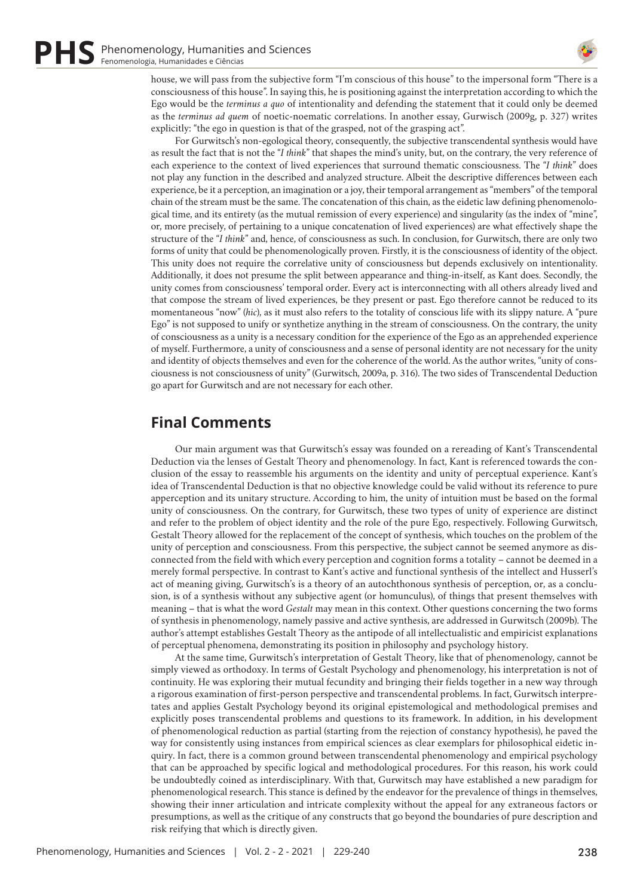

house, we will pass from the subjective form "I'm conscious of this house" to the impersonal form "There is a consciousness of this house". In saying this, he is positioning against the interpretation according to which the Ego would be the *terminus a quo* of intentionality and defending the statement that it could only be deemed as the *terminus ad quem* of noetic-noematic correlations. In another essay, Gurwisch (2009g, p. 327) writes explicitly: "the ego in question is that of the grasped, not of the grasping act".

For Gurwitsch's non-egological theory, consequently, the subjective transcendental synthesis would have as result the fact that is not the "*I think*" that shapes the mind's unity, but, on the contrary, the very reference of each experience to the context of lived experiences that surround thematic consciousness. The "*I think*" does not play any function in the described and analyzed structure. Albeit the descriptive differences between each experience, be it a perception, an imagination or a joy, their temporal arrangement as "members" of the temporal chain of the stream must be the same. The concatenation of this chain, as the eidetic law defining phenomenological time, and its entirety (as the mutual remission of every experience) and singularity (as the index of "mine", or, more precisely, of pertaining to a unique concatenation of lived experiences) are what effectively shape the structure of the "*I think*" and, hence, of consciousness as such. In conclusion, for Gurwitsch, there are only two forms of unity that could be phenomenologically proven. Firstly, it is the consciousness of identity of the object. This unity does not require the correlative unity of consciousness but depends exclusively on intentionality. Additionally, it does not presume the split between appearance and thing-in-itself, as Kant does. Secondly, the unity comes from consciousness' temporal order. Every act is interconnecting with all others already lived and that compose the stream of lived experiences, be they present or past. Ego therefore cannot be reduced to its momentaneous "now" (*hic*), as it must also refers to the totality of conscious life with its slippy nature. A "pure Ego" is not supposed to unify or synthetize anything in the stream of consciousness. On the contrary, the unity of consciousness as a unity is a necessary condition for the experience of the Ego as an apprehended experience of myself. Furthermore, a unity of consciousness and a sense of personal identity are not necessary for the unity and identity of objects themselves and even for the coherence of the world. As the author writes, "unity of consciousness is not consciousness of unity" (Gurwitsch, 2009a, p. 316). The two sides of Transcendental Deduction go apart for Gurwitsch and are not necessary for each other.

#### **Final Comments**

Our main argument was that Gurwitsch's essay was founded on a rereading of Kant's Transcendental Deduction via the lenses of Gestalt Theory and phenomenology. In fact, Kant is referenced towards the conclusion of the essay to reassemble his arguments on the identity and unity of perceptual experience. Kant's idea of Transcendental Deduction is that no objective knowledge could be valid without its reference to pure apperception and its unitary structure. According to him, the unity of intuition must be based on the formal unity of consciousness. On the contrary, for Gurwitsch, these two types of unity of experience are distinct and refer to the problem of object identity and the role of the pure Ego, respectively. Following Gurwitsch, Gestalt Theory allowed for the replacement of the concept of synthesis, which touches on the problem of the unity of perception and consciousness. From this perspective, the subject cannot be seemed anymore as disconnected from the field with which every perception and cognition forms a totality – cannot be deemed in a merely formal perspective. In contrast to Kant's active and functional synthesis of the intellect and Husserl's act of meaning giving, Gurwitsch's is a theory of an autochthonous synthesis of perception, or, as a conclusion, is of a synthesis without any subjective agent (or homunculus), of things that present themselves with meaning – that is what the word *Gestalt* may mean in this context. Other questions concerning the two forms of synthesis in phenomenology, namely passive and active synthesis, are addressed in Gurwitsch (2009b). The author's attempt establishes Gestalt Theory as the antipode of all intellectualistic and empiricist explanations of perceptual phenomena, demonstrating its position in philosophy and psychology history.

At the same time, Gurwitsch's interpretation of Gestalt Theory, like that of phenomenology, cannot be simply viewed as orthodoxy. In terms of Gestalt Psychology and phenomenology, his interpretation is not of continuity. He was exploring their mutual fecundity and bringing their fields together in a new way through a rigorous examination of first-person perspective and transcendental problems. In fact, Gurwitsch interpretates and applies Gestalt Psychology beyond its original epistemological and methodological premises and explicitly poses transcendental problems and questions to its framework. In addition, in his development of phenomenological reduction as partial (starting from the rejection of constancy hypothesis), he paved the way for consistently using instances from empirical sciences as clear exemplars for philosophical eidetic inquiry. In fact, there is a common ground between transcendental phenomenology and empirical psychology that can be approached by specific logical and methodological procedures. For this reason, his work could be undoubtedly coined as interdisciplinary. With that, Gurwitsch may have established a new paradigm for phenomenological research. This stance is defined by the endeavor for the prevalence of things in themselves, showing their inner articulation and intricate complexity without the appeal for any extraneous factors or presumptions, as well as the critique of any constructs that go beyond the boundaries of pure description and risk reifying that which is directly given.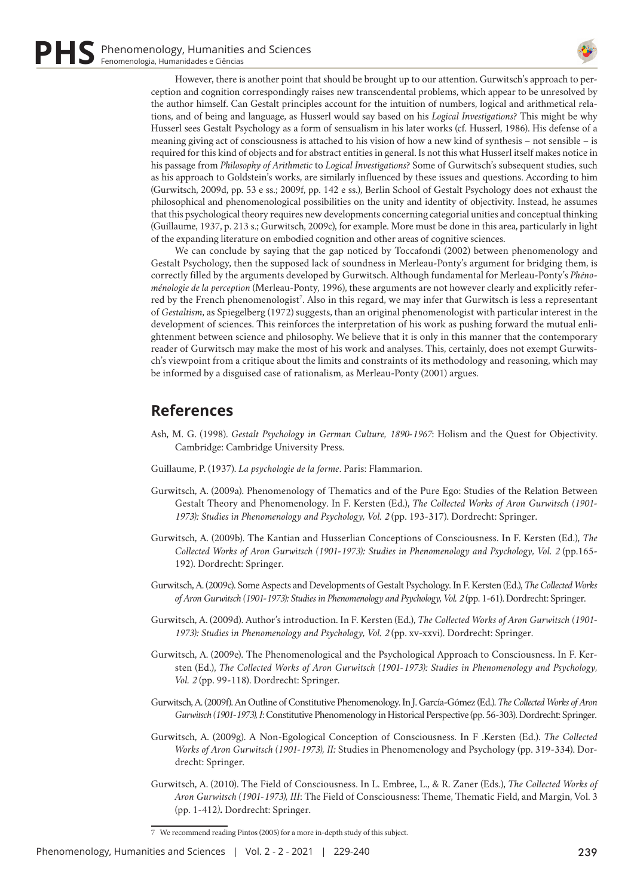

However, there is another point that should be brought up to our attention. Gurwitsch's approach to perception and cognition correspondingly raises new transcendental problems, which appear to be unresolved by the author himself. Can Gestalt principles account for the intuition of numbers, logical and arithmetical relations, and of being and language, as Husserl would say based on his *Logical Investigations*? This might be why Husserl sees Gestalt Psychology as a form of sensualism in his later works (cf. Husserl, 1986). His defense of a meaning giving act of consciousness is attached to his vision of how a new kind of synthesis – not sensible – is required for this kind of objects and for abstract entities in general. Is not this what Husserl itself makes notice in his passage from *Philosophy of Arithmetic* to *Logical Investigations*? Some of Gurwitsch's subsequent studies, such as his approach to Goldstein's works, are similarly influenced by these issues and questions. According to him (Gurwitsch, 2009d, pp. 53 e ss.; 2009f, pp. 142 e ss.), Berlin School of Gestalt Psychology does not exhaust the philosophical and phenomenological possibilities on the unity and identity of objectivity. Instead, he assumes that this psychological theory requires new developments concerning categorial unities and conceptual thinking (Guillaume, 1937, p. 213 s.; Gurwitsch, 2009c), for example. More must be done in this area, particularly in light of the expanding literature on embodied cognition and other areas of cognitive sciences.

We can conclude by saying that the gap noticed by Toccafondi (2002) between phenomenology and Gestalt Psychology, then the supposed lack of soundness in Merleau-Ponty's argument for bridging them, is correctly filled by the arguments developed by Gurwitsch. Although fundamental for Merleau-Ponty's *Phénoménologie de la perception* (Merleau-Ponty, 1996), these arguments are not however clearly and explicitly referred by the French phenomenologist<sup>7</sup>. Also in this regard, we may infer that Gurwitsch is less a representant of *Gestaltism*, as Spiegelberg (1972) suggests, than an original phenomenologist with particular interest in the development of sciences. This reinforces the interpretation of his work as pushing forward the mutual enlightenment between science and philosophy. We believe that it is only in this manner that the contemporary reader of Gurwitsch may make the most of his work and analyses. This, certainly, does not exempt Gurwitsch's viewpoint from a critique about the limits and constraints of its methodology and reasoning, which may be informed by a disguised case of rationalism, as Merleau-Ponty (2001) argues.

# **References**

- Ash, M. G. (1998). *Gestalt Psychology in German Culture, 1890-1967*: Holism and the Quest for Objectivity. Cambridge: Cambridge University Press.
- Guillaume, P. (1937). *La psychologie de la forme*. Paris: Flammarion.
- Gurwitsch, A. (2009a). Phenomenology of Thematics and of the Pure Ego: Studies of the Relation Between Gestalt Theory and Phenomenology. In F. Kersten (Ed.), *The Collected Works of Aron Gurwitsch (1901- 1973): Studies in Phenomenology and Psychology, Vol. 2* (pp. 193-317). Dordrecht: Springer.
- Gurwitsch, A. (2009b). The Kantian and Husserlian Conceptions of Consciousness. In F. Kersten (Ed.), *The Collected Works of Aron Gurwitsch (1901-1973): Studies in Phenomenology and Psychology, Vol. 2* (pp.165- 192). Dordrecht: Springer.
- Gurwitsch, A. (2009c). Some Aspects and Developments of Gestalt Psychology. In F. Kersten (Ed.), *The Collected Works of Aron Gurwitsch (1901-1973): Studies in Phenomenology and Psychology, Vol. 2* (pp. 1-61). Dordrecht: Springer.
- Gurwitsch, A. (2009d). Author's introduction. In F. Kersten (Ed.), *The Collected Works of Aron Gurwitsch (1901- 1973): Studies in Phenomenology and Psychology, Vol. 2* (pp. xv-xxvi). Dordrecht: Springer.
- Gurwitsch, A. (2009e). The Phenomenological and the Psychological Approach to Consciousness. In F. Kersten (Ed.), *The Collected Works of Aron Gurwitsch (1901-1973): Studies in Phenomenology and Psychology, Vol. 2* (pp. 99-118). Dordrecht: Springer.
- Gurwitsch, A. (2009f). An Outline of Constitutive Phenomenology. In J. García-Gómez (Ed.). *The Collected Works of Aron Gurwitsch (1901-1973), I*: Constitutive Phenomenology in Historical Perspective (pp. 56-303). Dordrecht: Springer.
- Gurwitsch, A. (2009g). A Non-Egological Conception of Consciousness. In F .Kersten (Ed.). *The Collected Works of Aron Gurwitsch (1901-1973), II:* Studies in Phenomenology and Psychology (pp. 319-334). Dordrecht: Springer.
- Gurwitsch, A. (2010). The Field of Consciousness. In L. Embree, L., & R. Zaner (Eds.), *The Collected Works of Aron Gurwitsch (1901-1973), III*: The Field of Consciousness: Theme, Thematic Field, and Margin, Vol. 3 (pp. 1-412*)***.** Dordrecht: Springer.

<sup>7</sup> We recommend reading Pintos (2005) for a more in-depth study of this subject.